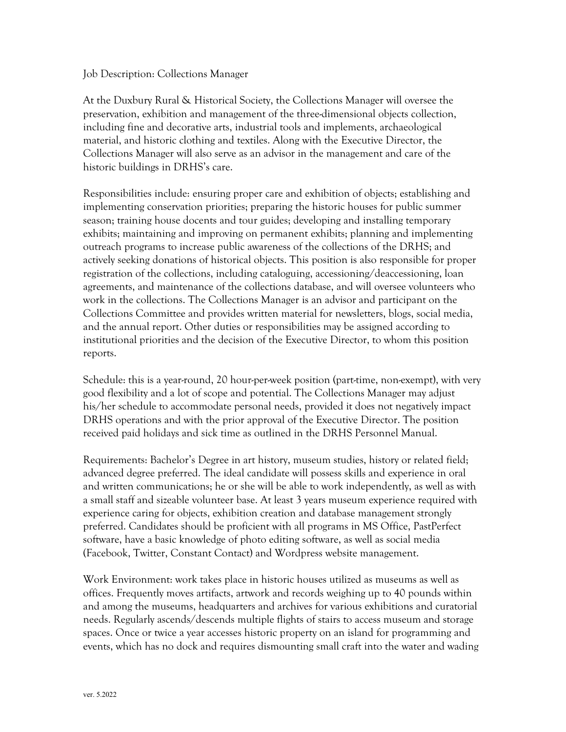## Job Description: Collections Manager

At the Duxbury Rural & Historical Society, the Collections Manager will oversee the preservation, exhibition and management of the three-dimensional objects collection, including fine and decorative arts, industrial tools and implements, archaeological material, and historic clothing and textiles. Along with the Executive Director, the Collections Manager will also serve as an advisor in the management and care of the historic buildings in DRHS's care.

Responsibilities include: ensuring proper care and exhibition of objects; establishing and implementing conservation priorities; preparing the historic houses for public summer season; training house docents and tour guides; developing and installing temporary exhibits; maintaining and improving on permanent exhibits; planning and implementing outreach programs to increase public awareness of the collections of the DRHS; and actively seeking donations of historical objects. This position is also responsible for proper registration of the collections, including cataloguing, accessioning/deaccessioning, loan agreements, and maintenance of the collections database, and will oversee volunteers who work in the collections. The Collections Manager is an advisor and participant on the Collections Committee and provides written material for newsletters, blogs, social media, and the annual report. Other duties or responsibilities may be assigned according to institutional priorities and the decision of the Executive Director, to whom this position reports.

Schedule: this is a year-round, 20 hour-per-week position (part-time, non-exempt), with very good flexibility and a lot of scope and potential. The Collections Manager may adjust his/her schedule to accommodate personal needs, provided it does not negatively impact DRHS operations and with the prior approval of the Executive Director. The position received paid holidays and sick time as outlined in the DRHS Personnel Manual.

Requirements: Bachelor's Degree in art history, museum studies, history or related field; advanced degree preferred. The ideal candidate will possess skills and experience in oral and written communications; he or she will be able to work independently, as well as with a small staff and sizeable volunteer base. At least 3 years museum experience required with experience caring for objects, exhibition creation and database management strongly preferred. Candidates should be proficient with all programs in MS Office, PastPerfect software, have a basic knowledge of photo editing software, as well as social media (Facebook, Twitter, Constant Contact) and Wordpress website management.

Work Environment: work takes place in historic houses utilized as museums as well as offices. Frequently moves artifacts, artwork and records weighing up to 40 pounds within and among the museums, headquarters and archives for various exhibitions and curatorial needs. Regularly ascends/descends multiple flights of stairs to access museum and storage spaces. Once or twice a year accesses historic property on an island for programming and events, which has no dock and requires dismounting small craft into the water and wading